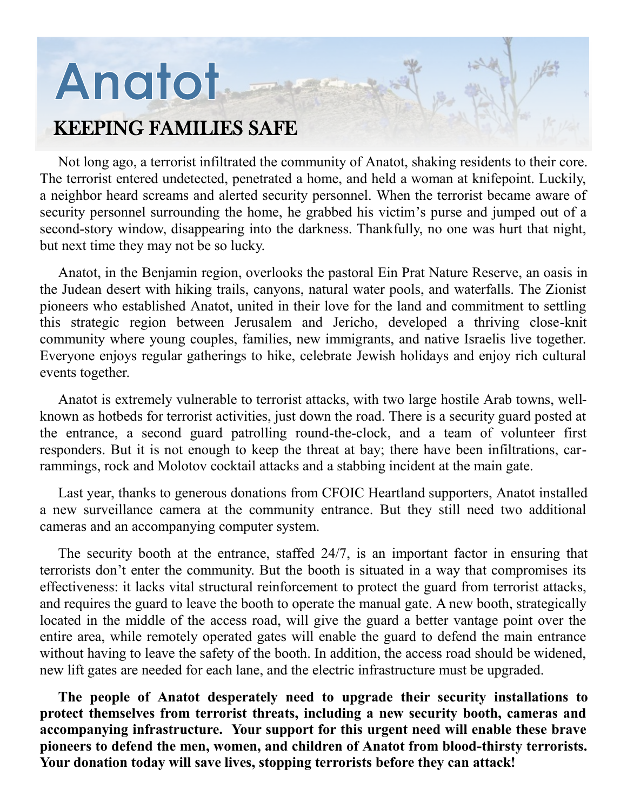# **Anatot**

### KEEPING FAMILIES SAFE

Not long ago, a terrorist infiltrated the community of Anatot, shaking residents to their core. The terrorist entered undetected, penetrated a home, and held a woman at knifepoint. Luckily, a neighbor heard screams and alerted security personnel. When the terrorist became aware of security personnel surrounding the home, he grabbed his victim's purse and jumped out of a second-story window, disappearing into the darkness. Thankfully, no one was hurt that night, but next time they may not be so lucky.

Anatot, in the Benjamin region, overlooks the pastoral Ein Prat Nature Reserve, an oasis in the Judean desert with hiking trails, canyons, natural water pools, and waterfalls. The Zionist pioneers who established Anatot, united in their love for the land and commitment to settling this strategic region between Jerusalem and Jericho, developed a thriving close-knit community where young couples, families, new immigrants, and native Israelis live together. Everyone enjoys regular gatherings to hike, celebrate Jewish holidays and enjoy rich cultural events together.

Anatot is extremely vulnerable to terrorist attacks, with two large hostile Arab towns, wellknown as hotbeds for terrorist activities, just down the road. There is a security guard posted at the entrance, a second guard patrolling round-the-clock, and a team of volunteer first responders. But it is not enough to keep the threat at bay; there have been infiltrations, carrammings, rock and Molotov cocktail attacks and a stabbing incident at the main gate.

Last year, thanks to generous donations from CFOIC Heartland supporters, Anatot installed a new surveillance camera at the community entrance. But they still need two additional cameras and an accompanying computer system.

The security booth at the entrance, staffed 24/7, is an important factor in ensuring that terrorists don't enter the community. But the booth is situated in a way that compromises its effectiveness: it lacks vital structural reinforcement to protect the guard from terrorist attacks, and requires the guard to leave the booth to operate the manual gate. A new booth, strategically located in the middle of the access road, will give the guard a better vantage point over the entire area, while remotely operated gates will enable the guard to defend the main entrance without having to leave the safety of the booth. In addition, the access road should be widened, new lift gates are needed for each lane, and the electric infrastructure must be upgraded.

**The people of Anatot desperately need to upgrade their security installations to protect themselves from terrorist threats, including a new security booth, cameras and accompanying infrastructure. Your support for this urgent need will enable these brave pioneers to defend the men, women, and children of Anatot from blood-thirsty terrorists. Your donation today will save lives, stopping terrorists before they can attack!**